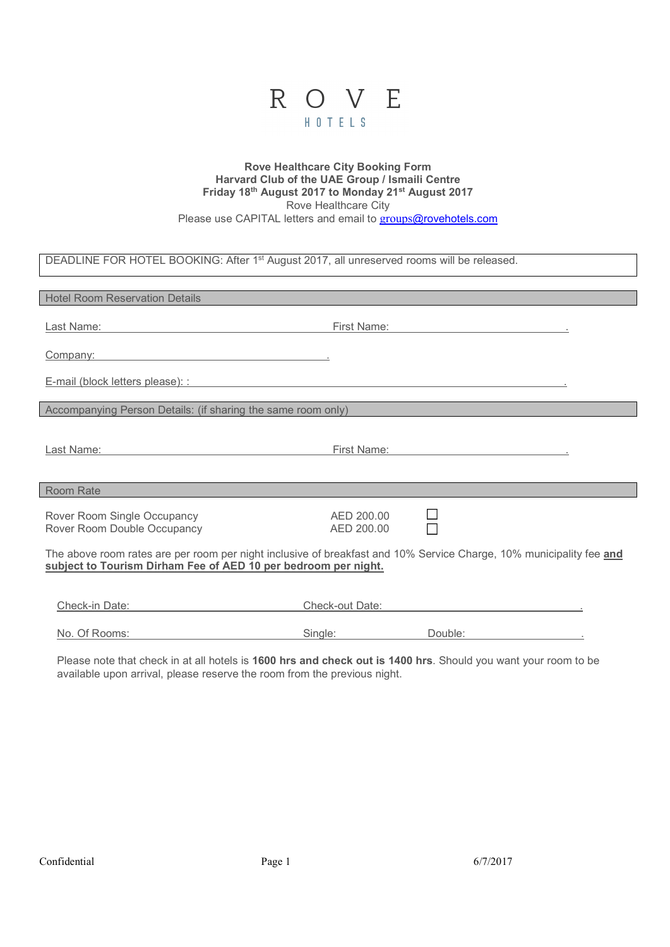

| <b>Rove Healthcare City Booking Form</b>                      |
|---------------------------------------------------------------|
| Harvard Club of the UAE Group / Ismaili Centre                |
| Friday 18th August 2017 to Monday 21st August 2017            |
| Rove Healthcare City                                          |
| Please use CAPITAL letters and email to groups@rovehotels.com |

| DEADLINE FOR HOTEL BOOKING: After 1 <sup>st</sup> August 2017, all unreserved rooms will be released.                                                                                 |                          |         |  |  |  |  |  |
|---------------------------------------------------------------------------------------------------------------------------------------------------------------------------------------|--------------------------|---------|--|--|--|--|--|
|                                                                                                                                                                                       |                          |         |  |  |  |  |  |
| <b>Hotel Room Reservation Details</b>                                                                                                                                                 |                          |         |  |  |  |  |  |
| Last Name:                                                                                                                                                                            | First Name:              |         |  |  |  |  |  |
| Company: example of the company:                                                                                                                                                      |                          |         |  |  |  |  |  |
| E-mail (block letters please): :                                                                                                                                                      |                          |         |  |  |  |  |  |
| Accompanying Person Details: (if sharing the same room only)                                                                                                                          |                          |         |  |  |  |  |  |
|                                                                                                                                                                                       |                          |         |  |  |  |  |  |
| Last Name:                                                                                                                                                                            | First Name:              |         |  |  |  |  |  |
|                                                                                                                                                                                       |                          |         |  |  |  |  |  |
| <b>Room Rate</b>                                                                                                                                                                      |                          |         |  |  |  |  |  |
| Rover Room Single Occupancy<br>Rover Room Double Occupancy                                                                                                                            | AED 200.00<br>AED 200.00 |         |  |  |  |  |  |
| The above room rates are per room per night inclusive of breakfast and 10% Service Charge, 10% municipality fee and<br>subject to Tourism Dirham Fee of AED 10 per bedroom per night. |                          |         |  |  |  |  |  |
|                                                                                                                                                                                       |                          |         |  |  |  |  |  |
| Check-in Date:                                                                                                                                                                        | Check-out Date:          |         |  |  |  |  |  |
| No. Of Rooms:                                                                                                                                                                         | Single:                  | Double: |  |  |  |  |  |

Please note that check in at all hotels is 1600 hrs and check out is 1400 hrs. Should you want your room to be available upon arrival, please reserve the room from the previous night.